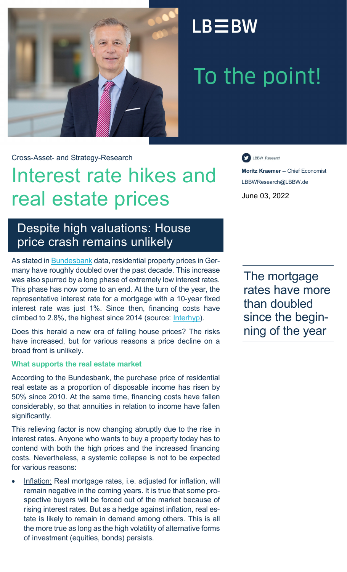

## $LB \equiv BW$

# To the point!

Cross-Asset- and Strategy-Research

## Interest rate hikes and real estate prices

LBBW\_Research

**Moritz Kraemer** -- Chief Economist LBBWResearch@LBBW.de June 03, 2022

### Despite high valuations: House price crash remains unlikely

As stated in **[Bundesbank](https://www.bundesbank.de/resource/blob/615188/7d3044b3369bee5b485f1f9095b91e2b/mL/indikatorensystem-zum-deutschen-wohnungsmarkt-data.pdf)** data, residential property prices in Germany have roughly doubled over the past decade. This increase was also spurred by a long phase of extremely low interest rates. This phase has now come to an end. At the turn of the year, the representative interest rate for a mortgage with a 10-year fixed interest rate was just 1%. Since then, financing costs have climbed to 2.8%, the highest since 2014 (source: [Interhyp\)](https://www.interhyp.de/lp/zinsentwicklung-sem/?adChannel=S_Yahoo&adCampaign=SG_Zinsentwicklung&adKeyword=zinsentwicklung_hypothekendarlehen&msclkid=2a8dd8fb84bc1c69b317ba74c645a40f&utm_source=bing&utm_medium=cpc&utm_term=zinsentwicklung+hypothekendarlehen&utm_campaign=SG_Zinsentwicklung&utm_content=SG_Zinsen_Entwicklung_Hypothek).

Does this herald a new era of falling house prices? The risks have increased, but for various reasons a price decline on a broad front is unlikely.

### **What supports the real estate market**

According to the Bundesbank, the purchase price of residential real estate as a proportion of disposable income has risen by 50% since 2010. At the same time, financing costs have fallen considerably, so that annuities in relation to income have fallen significantly.

This relieving factor is now changing abruptly due to the rise in interest rates. Anyone who wants to buy a property today has to contend with both the high prices and the increased financing costs. Nevertheless, a systemic collapse is not to be expected for various reasons:

• Inflation: Real mortgage rates, i.e. adjusted for inflation, will remain negative in the coming years. It is true that some prospective buyers will be forced out of the market because of rising interest rates. But as a hedge against inflation, real estate is likely to remain in demand among others. This is all the more true as long as the high volatility of alternative forms of investment (equities, bonds) persists.

The mortgage rates have more than doubled since the beginning of the year